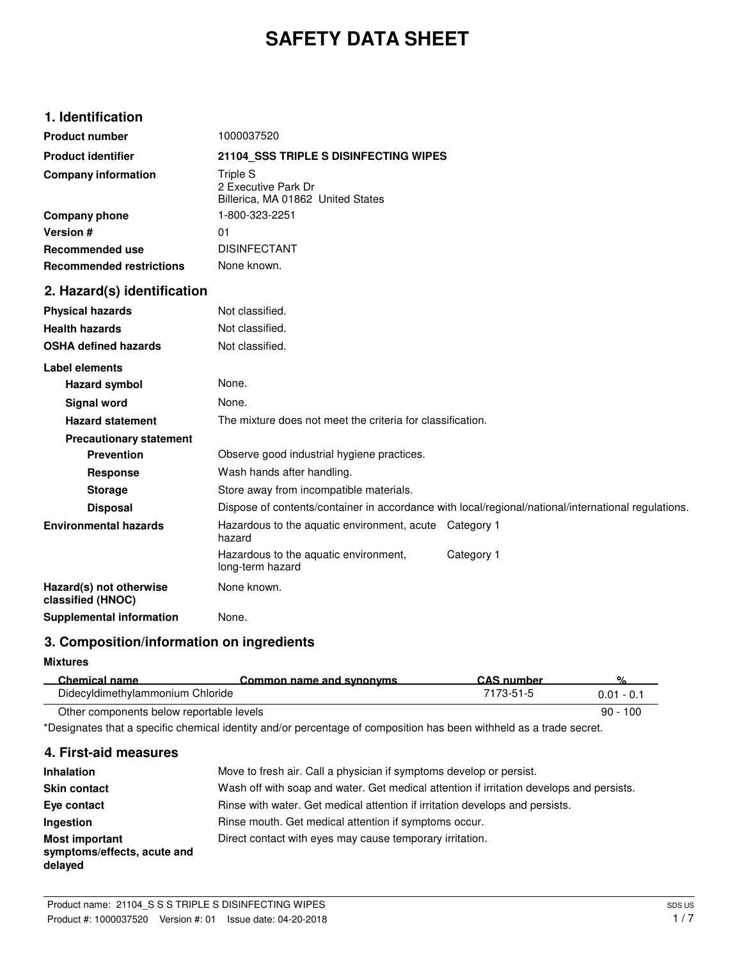# **SAFETY DATA SHEET**

# **1. Identification**

| <b>Product number</b>                        | 1000037520                                                                                          |  |  |
|----------------------------------------------|-----------------------------------------------------------------------------------------------------|--|--|
| <b>Product identifier</b>                    | 21104 SSS TRIPLE S DISINFECTING WIPES                                                               |  |  |
| <b>Company information</b>                   | <b>Triple S</b><br>2 Executive Park Dr<br>Billerica, MA 01862 United States                         |  |  |
| Company phone                                | 1-800-323-2251                                                                                      |  |  |
| Version #                                    | 01                                                                                                  |  |  |
| <b>Recommended use</b>                       | <b>DISINFECTANT</b>                                                                                 |  |  |
| <b>Recommended restrictions</b>              | None known.                                                                                         |  |  |
| 2. Hazard(s) identification                  |                                                                                                     |  |  |
| <b>Physical hazards</b>                      | Not classified.                                                                                     |  |  |
| <b>Health hazards</b>                        | Not classified.                                                                                     |  |  |
| <b>OSHA defined hazards</b>                  | Not classified.                                                                                     |  |  |
| <b>Label elements</b>                        |                                                                                                     |  |  |
| <b>Hazard symbol</b>                         | None.                                                                                               |  |  |
| <b>Signal word</b>                           | None.                                                                                               |  |  |
| <b>Hazard statement</b>                      | The mixture does not meet the criteria for classification.                                          |  |  |
| <b>Precautionary statement</b>               |                                                                                                     |  |  |
| <b>Prevention</b>                            | Observe good industrial hygiene practices.                                                          |  |  |
| Response                                     | Wash hands after handling.                                                                          |  |  |
| <b>Storage</b>                               | Store away from incompatible materials.                                                             |  |  |
| <b>Disposal</b>                              | Dispose of contents/container in accordance with local/regional/national/international regulations. |  |  |
| <b>Environmental hazards</b>                 | Hazardous to the aquatic environment, acute Category 1<br>hazard                                    |  |  |
|                                              | Hazardous to the aquatic environment,<br>Category 1<br>long-term hazard                             |  |  |
| Hazard(s) not otherwise<br>classified (HNOC) | None known.                                                                                         |  |  |
| <b>Supplemental information</b>              | None.                                                                                               |  |  |

# **3. Composition/information on ingredients**

## **Mixtures**

| Chemical name                            | Common name and synonyms | CAS number | 0/           |
|------------------------------------------|--------------------------|------------|--------------|
| Didecyldimethylammonium Chloride         |                          | 7173-51-5  | $0.01 - 0.1$ |
| Other components below reportable levels |                          |            | $90 - 100$   |

\*Designates that a specific chemical identity and/or percentage of composition has been withheld as a trade secret.

# **4. First-aid measures**

| <b>Inhalation</b>                                               | Move to fresh air. Call a physician if symptoms develop or persist.                      |
|-----------------------------------------------------------------|------------------------------------------------------------------------------------------|
| <b>Skin contact</b>                                             | Wash off with soap and water. Get medical attention if irritation develops and persists. |
| Eye contact                                                     | Rinse with water. Get medical attention if irritation develops and persists.             |
| <b>Ingestion</b>                                                | Rinse mouth. Get medical attention if symptoms occur.                                    |
| <b>Most important</b><br>symptoms/effects, acute and<br>delayed | Direct contact with eyes may cause temporary irritation.                                 |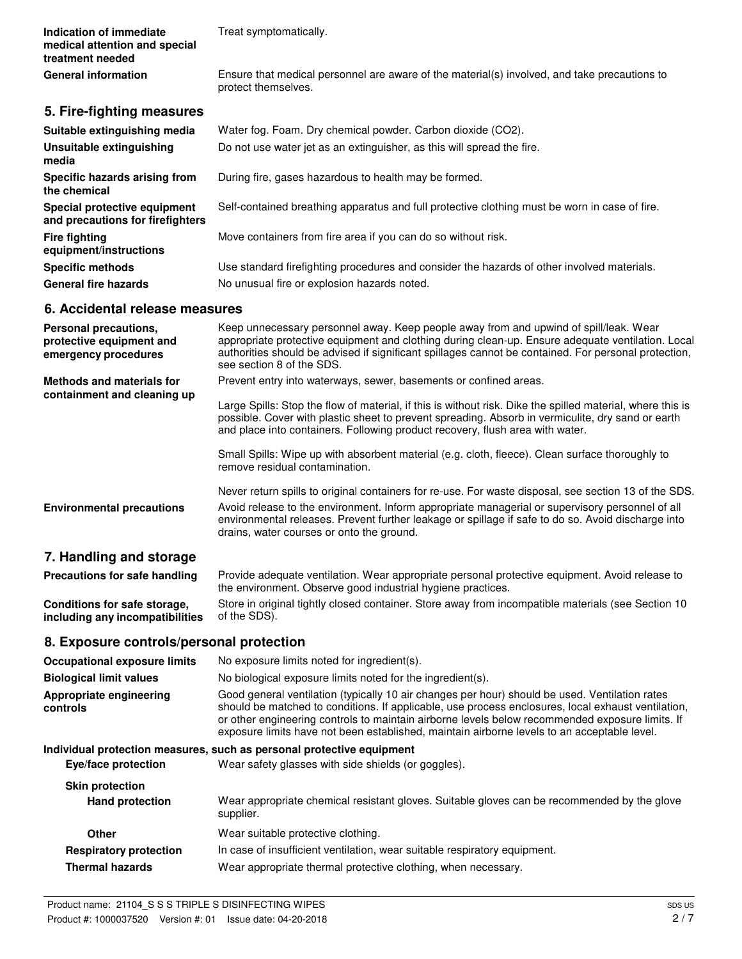**Indication of immediate** Treat symptomatically. **medical attention and special treatment needed General information**

Ensure that medical personnel are aware of the material(s) involved, and take precautions to protect themselves.

# **5. Fire-fighting measures**

| Suitable extinguishing media                                     | Water fog. Foam. Dry chemical powder. Carbon dioxide (CO2).                                   |
|------------------------------------------------------------------|-----------------------------------------------------------------------------------------------|
| Unsuitable extinguishing<br>media                                | Do not use water jet as an extinguisher, as this will spread the fire.                        |
| Specific hazards arising from<br>the chemical                    | During fire, gases hazardous to health may be formed.                                         |
| Special protective equipment<br>and precautions for firefighters | Self-contained breathing apparatus and full protective clothing must be worn in case of fire. |
| Fire fighting<br>equipment/instructions                          | Move containers from fire area if you can do so without risk.                                 |
| <b>Specific methods</b>                                          | Use standard firefighting procedures and consider the hazards of other involved materials.    |
| <b>General fire hazards</b>                                      | No unusual fire or explosion hazards noted.                                                   |

# **6. Accidental release measures**

| Personal precautions,<br>protective equipment and<br>emergency procedures | Keep unnecessary personnel away. Keep people away from and upwind of spill/leak. Wear<br>appropriate protective equipment and clothing during clean-up. Ensure adequate ventilation. Local<br>authorities should be advised if significant spillages cannot be contained. For personal protection,<br>see section 8 of the SDS. |
|---------------------------------------------------------------------------|---------------------------------------------------------------------------------------------------------------------------------------------------------------------------------------------------------------------------------------------------------------------------------------------------------------------------------|
| <b>Methods and materials for</b><br>containment and cleaning up           | Prevent entry into waterways, sewer, basements or confined areas.                                                                                                                                                                                                                                                               |
|                                                                           | Large Spills: Stop the flow of material, if this is without risk. Dike the spilled material, where this is<br>possible. Cover with plastic sheet to prevent spreading. Absorb in vermiculite, dry sand or earth<br>and place into containers. Following product recovery, flush area with water.                                |
|                                                                           | Small Spills: Wipe up with absorbent material (e.g. cloth, fleece). Clean surface thoroughly to<br>remove residual contamination.                                                                                                                                                                                               |
|                                                                           | Never return spills to original containers for re-use. For waste disposal, see section 13 of the SDS.                                                                                                                                                                                                                           |
| <b>Environmental precautions</b>                                          | Avoid release to the environment. Inform appropriate managerial or supervisory personnel of all<br>environmental releases. Prevent further leakage or spillage if safe to do so. Avoid discharge into<br>drains, water courses or onto the ground.                                                                              |
| 7. Handling and storage                                                   |                                                                                                                                                                                                                                                                                                                                 |

Provide adequate ventilation. Wear appropriate personal protective equipment. Avoid release to the environment. Observe good industrial hygiene practices. **Precautions for safe handling** Store in original tightly closed container. Store away from incompatible materials (see Section 10 **Conditions for safe storage,**

of the SDS). **including any incompatibilities**

# **8. Exposure controls/personal protection**

| <b>Occupational exposure limits</b> | No exposure limits noted for ingredient(s).                                                                                                                                                                                                                                                                                                                                                            |
|-------------------------------------|--------------------------------------------------------------------------------------------------------------------------------------------------------------------------------------------------------------------------------------------------------------------------------------------------------------------------------------------------------------------------------------------------------|
| <b>Biological limit values</b>      | No biological exposure limits noted for the ingredient(s).                                                                                                                                                                                                                                                                                                                                             |
| Appropriate engineering<br>controls | Good general ventilation (typically 10 air changes per hour) should be used. Ventilation rates<br>should be matched to conditions. If applicable, use process enclosures, local exhaust ventilation,<br>or other engineering controls to maintain airborne levels below recommended exposure limits. If<br>exposure limits have not been established, maintain airborne levels to an acceptable level. |
|                                     | Individual protection measures, such as personal protective equipment                                                                                                                                                                                                                                                                                                                                  |
| Eye/face protection                 | Wear safety glasses with side shields (or goggles).                                                                                                                                                                                                                                                                                                                                                    |
| <b>Skin protection</b>              |                                                                                                                                                                                                                                                                                                                                                                                                        |
| <b>Hand protection</b>              | Wear appropriate chemical resistant gloves. Suitable gloves can be recommended by the glove<br>supplier.                                                                                                                                                                                                                                                                                               |
| Other                               | Wear suitable protective clothing.                                                                                                                                                                                                                                                                                                                                                                     |
| <b>Respiratory protection</b>       | In case of insufficient ventilation, wear suitable respiratory equipment.                                                                                                                                                                                                                                                                                                                              |
| <b>Thermal hazards</b>              | Wear appropriate thermal protective clothing, when necessary.                                                                                                                                                                                                                                                                                                                                          |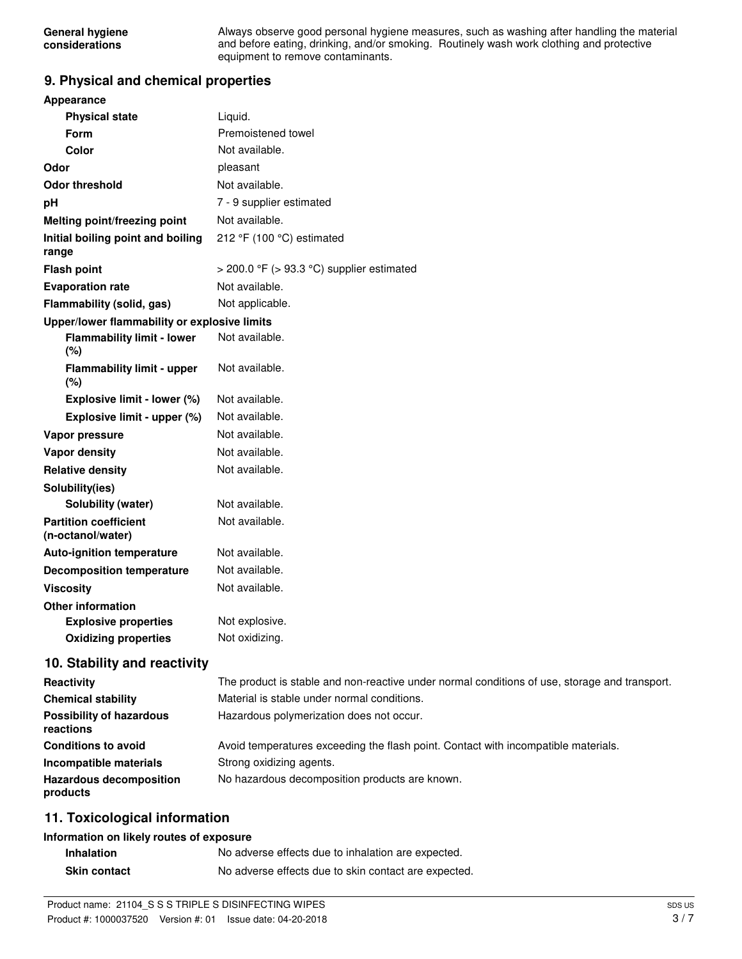Always observe good personal hygiene measures, such as washing after handling the material and before eating, drinking, and/or smoking. Routinely wash work clothing and protective equipment to remove contaminants.

## **9. Physical and chemical properties**

| <b>Appearance</b>                                 |                                           |  |  |
|---------------------------------------------------|-------------------------------------------|--|--|
| <b>Physical state</b>                             | Liquid.                                   |  |  |
| <b>Form</b>                                       | Premoistened towel                        |  |  |
| Color                                             | Not available.                            |  |  |
| Odor                                              | pleasant                                  |  |  |
| <b>Odor threshold</b>                             | Not available.                            |  |  |
| pH                                                | 7 - 9 supplier estimated                  |  |  |
| Melting point/freezing point                      | Not available.                            |  |  |
| Initial boiling point and boiling<br>range        | 212 °F (100 °C) estimated                 |  |  |
| <b>Flash point</b>                                | > 200.0 °F (> 93.3 °C) supplier estimated |  |  |
| <b>Evaporation rate</b>                           | Not available.                            |  |  |
| Flammability (solid, gas)                         | Not applicable.                           |  |  |
| Upper/lower flammability or explosive limits      |                                           |  |  |
| <b>Flammability limit - lower</b><br>(%)          | Not available.                            |  |  |
| <b>Flammability limit - upper</b><br>$(\%)$       | Not available.                            |  |  |
| Explosive limit - lower (%)                       | Not available.                            |  |  |
| Explosive limit - upper (%)                       | Not available.                            |  |  |
| Vapor pressure                                    | Not available.                            |  |  |
| <b>Vapor density</b>                              | Not available.                            |  |  |
| <b>Relative density</b>                           | Not available.                            |  |  |
| Solubility(ies)                                   |                                           |  |  |
| <b>Solubility (water)</b>                         | Not available.                            |  |  |
| <b>Partition coefficient</b><br>(n-octanol/water) | Not available.                            |  |  |
| <b>Auto-ignition temperature</b>                  | Not available.                            |  |  |
| <b>Decomposition temperature</b>                  | Not available.                            |  |  |
| <b>Viscosity</b>                                  | Not available.                            |  |  |
| <b>Other information</b>                          |                                           |  |  |
| <b>Explosive properties</b>                       | Not explosive.                            |  |  |
| <b>Oxidizing properties</b>                       | Not oxidizing.                            |  |  |
| 10. Stability and reactivity                      |                                           |  |  |

# **Reactivity** The product is stable and non-reactive under normal conditions of use, storage and transport. **Chemical stability** Material is stable under normal conditions. **Possibility of hazardous** Hazardous polymerization does not occur. **reactions Conditions to avoid Avoid temperatures exceeding the flash point. Contact with incompatible materials. Incompatible materials** Strong oxidizing agents. Hazardous decomposition No hazardous decomposition products are known. **products**

# **11. Toxicological information**

#### **Information on likely routes of exposure**

| <b>Inhalation</b>   | No adverse effects due to inhalation are expected.   |
|---------------------|------------------------------------------------------|
| <b>Skin contact</b> | No adverse effects due to skin contact are expected. |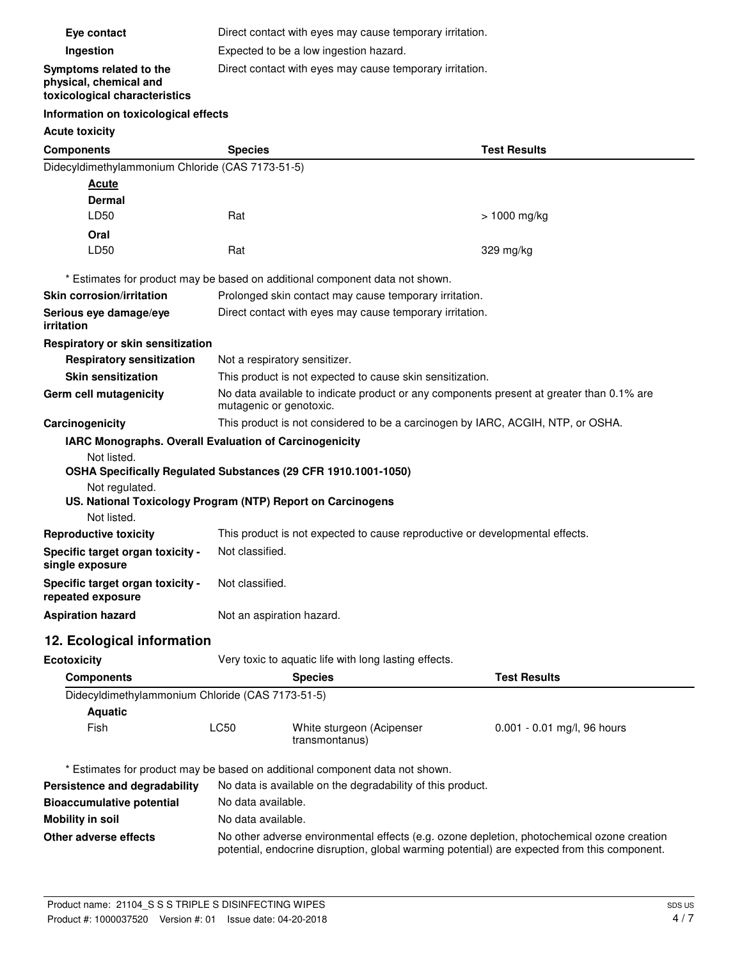| Eye contact                                                                        | Direct contact with eyes may cause temporary irritation.                                                            |                                                                              |                             |
|------------------------------------------------------------------------------------|---------------------------------------------------------------------------------------------------------------------|------------------------------------------------------------------------------|-----------------------------|
| Ingestion                                                                          | Expected to be a low ingestion hazard.                                                                              |                                                                              |                             |
| Symptoms related to the<br>physical, chemical and<br>toxicological characteristics | Direct contact with eyes may cause temporary irritation.                                                            |                                                                              |                             |
| Information on toxicological effects                                               |                                                                                                                     |                                                                              |                             |
| <b>Acute toxicity</b>                                                              |                                                                                                                     |                                                                              |                             |
| <b>Components</b>                                                                  | <b>Species</b>                                                                                                      |                                                                              | <b>Test Results</b>         |
| Didecyldimethylammonium Chloride (CAS 7173-51-5)                                   |                                                                                                                     |                                                                              |                             |
| <b>Acute</b>                                                                       |                                                                                                                     |                                                                              |                             |
| Dermal                                                                             |                                                                                                                     |                                                                              |                             |
| LD50                                                                               | Rat                                                                                                                 |                                                                              | $> 1000$ mg/kg              |
| Oral                                                                               |                                                                                                                     |                                                                              |                             |
| LD50                                                                               | Rat                                                                                                                 |                                                                              | 329 mg/kg                   |
|                                                                                    |                                                                                                                     | * Estimates for product may be based on additional component data not shown. |                             |
| <b>Skin corrosion/irritation</b>                                                   |                                                                                                                     | Prolonged skin contact may cause temporary irritation.                       |                             |
| Serious eye damage/eye                                                             |                                                                                                                     | Direct contact with eyes may cause temporary irritation.                     |                             |
| <i>irritation</i>                                                                  |                                                                                                                     |                                                                              |                             |
| Respiratory or skin sensitization                                                  |                                                                                                                     |                                                                              |                             |
| <b>Respiratory sensitization</b>                                                   | Not a respiratory sensitizer.                                                                                       |                                                                              |                             |
| <b>Skin sensitization</b>                                                          | This product is not expected to cause skin sensitization.                                                           |                                                                              |                             |
| Germ cell mutagenicity                                                             | No data available to indicate product or any components present at greater than 0.1% are<br>mutagenic or genotoxic. |                                                                              |                             |
| Carcinogenicity                                                                    | This product is not considered to be a carcinogen by IARC, ACGIH, NTP, or OSHA.                                     |                                                                              |                             |
| IARC Monographs. Overall Evaluation of Carcinogenicity                             |                                                                                                                     |                                                                              |                             |
| Not listed.                                                                        |                                                                                                                     |                                                                              |                             |
| OSHA Specifically Regulated Substances (29 CFR 1910.1001-1050)                     |                                                                                                                     |                                                                              |                             |
| Not regulated.<br>US. National Toxicology Program (NTP) Report on Carcinogens      |                                                                                                                     |                                                                              |                             |
| Not listed.                                                                        |                                                                                                                     |                                                                              |                             |
| <b>Reproductive toxicity</b>                                                       | This product is not expected to cause reproductive or developmental effects.                                        |                                                                              |                             |
| Specific target organ toxicity -                                                   | Not classified.                                                                                                     |                                                                              |                             |
| single exposure                                                                    |                                                                                                                     |                                                                              |                             |
| Specific target organ toxicity -                                                   | Not classified.                                                                                                     |                                                                              |                             |
| repeated exposure                                                                  |                                                                                                                     |                                                                              |                             |
| <b>Aspiration hazard</b>                                                           | Not an aspiration hazard.                                                                                           |                                                                              |                             |
| 12. Ecological information                                                         |                                                                                                                     |                                                                              |                             |
| <b>Ecotoxicity</b>                                                                 |                                                                                                                     | Very toxic to aquatic life with long lasting effects.                        |                             |
| <b>Components</b>                                                                  |                                                                                                                     | <b>Species</b>                                                               | <b>Test Results</b>         |
| Didecyldimethylammonium Chloride (CAS 7173-51-5)                                   |                                                                                                                     |                                                                              |                             |
| <b>Aquatic</b>                                                                     |                                                                                                                     |                                                                              |                             |
| Fish                                                                               | LC50                                                                                                                | White sturgeon (Acipenser<br>transmontanus)                                  | 0.001 - 0.01 mg/l, 96 hours |
|                                                                                    |                                                                                                                     |                                                                              |                             |
|                                                                                    |                                                                                                                     | * Estimates for product may be based on additional component data not shown. |                             |
| Persistence and degradability                                                      |                                                                                                                     | No data is available on the degradability of this product.                   |                             |
| <b>Bioaccumulative potential</b>                                                   | No data available.                                                                                                  |                                                                              |                             |
| <b>Mobility in soil</b>                                                            | No data available.                                                                                                  |                                                                              |                             |
|                                                                                    |                                                                                                                     |                                                                              |                             |

**Other adverse effects** No other adverse environmental effects (e.g. ozone depletion, photochemical ozone creation potential, endocrine disruption, global warming potential) are expected from this component.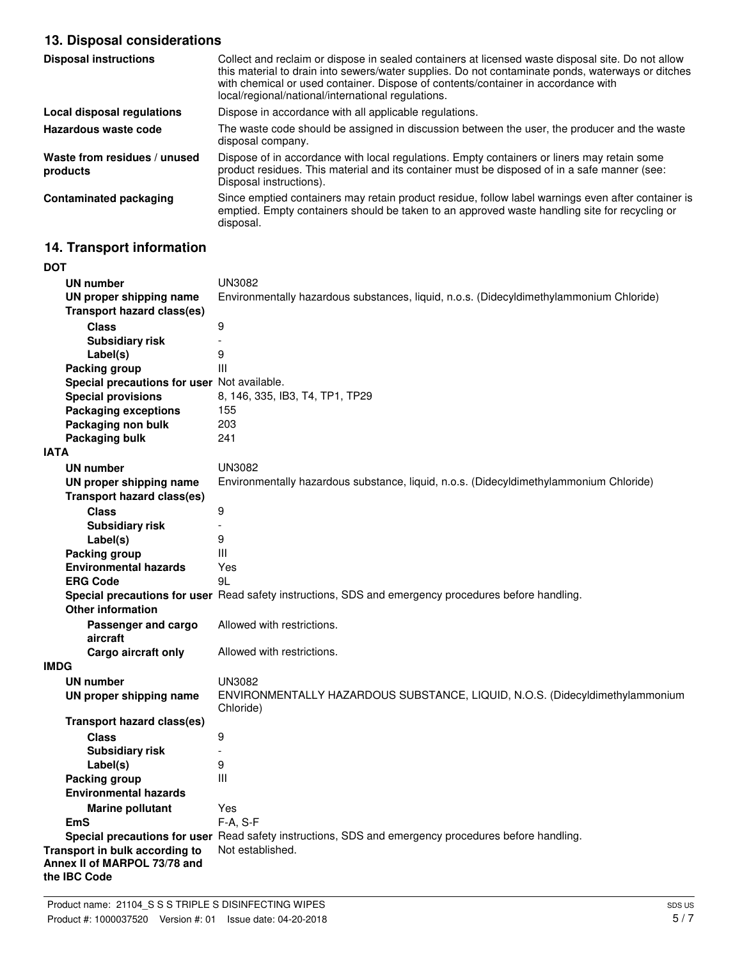# **13. Disposal considerations**

| <b>Disposal instructions</b>             | Collect and reclaim or dispose in sealed containers at licensed waste disposal site. Do not allow<br>this material to drain into sewers/water supplies. Do not contaminate ponds, waterways or ditches<br>with chemical or used container. Dispose of contents/container in accordance with<br>local/regional/national/international regulations. |
|------------------------------------------|---------------------------------------------------------------------------------------------------------------------------------------------------------------------------------------------------------------------------------------------------------------------------------------------------------------------------------------------------|
| Local disposal regulations               | Dispose in accordance with all applicable regulations.                                                                                                                                                                                                                                                                                            |
| Hazardous waste code                     | The waste code should be assigned in discussion between the user, the producer and the waste<br>disposal company.                                                                                                                                                                                                                                 |
| Waste from residues / unused<br>products | Dispose of in accordance with local regulations. Empty containers or liners may retain some<br>product residues. This material and its container must be disposed of in a safe manner (see:<br>Disposal instructions).                                                                                                                            |
| <b>Contaminated packaging</b>            | Since emptied containers may retain product residue, follow label warnings even after container is<br>emptied. Empty containers should be taken to an approved waste handling site for recycling or<br>disposal.                                                                                                                                  |

# **14. Transport information**

| <b>DOT</b>                                                     |                                                                                                      |  |  |
|----------------------------------------------------------------|------------------------------------------------------------------------------------------------------|--|--|
| <b>UN number</b>                                               | <b>UN3082</b>                                                                                        |  |  |
| UN proper shipping name                                        | Environmentally hazardous substances, liquid, n.o.s. (Didecyldimethylammonium Chloride)              |  |  |
| <b>Transport hazard class(es)</b>                              |                                                                                                      |  |  |
| <b>Class</b>                                                   | 9                                                                                                    |  |  |
| <b>Subsidiary risk</b>                                         | $\overline{a}$                                                                                       |  |  |
| Label(s)                                                       | 9                                                                                                    |  |  |
| Packing group                                                  | Ш                                                                                                    |  |  |
| Special precautions for user Not available.                    |                                                                                                      |  |  |
| <b>Special provisions</b>                                      | 8, 146, 335, IB3, T4, TP1, TP29                                                                      |  |  |
| <b>Packaging exceptions</b>                                    | 155                                                                                                  |  |  |
| Packaging non bulk                                             | 203                                                                                                  |  |  |
| Packaging bulk                                                 | 241                                                                                                  |  |  |
| <b>IATA</b>                                                    |                                                                                                      |  |  |
| <b>UN number</b>                                               | <b>UN3082</b>                                                                                        |  |  |
| UN proper shipping name                                        | Environmentally hazardous substance, liquid, n.o.s. (Didecyldimethylammonium Chloride)               |  |  |
| <b>Transport hazard class(es)</b>                              |                                                                                                      |  |  |
| <b>Class</b>                                                   | 9                                                                                                    |  |  |
| <b>Subsidiary risk</b>                                         | $\overline{\phantom{a}}$                                                                             |  |  |
| Label(s)                                                       | 9                                                                                                    |  |  |
| Packing group                                                  | Ш                                                                                                    |  |  |
| <b>Environmental hazards</b>                                   | Yes                                                                                                  |  |  |
| <b>ERG Code</b>                                                | 9L                                                                                                   |  |  |
|                                                                | Special precautions for user Read safety instructions, SDS and emergency procedures before handling. |  |  |
| <b>Other information</b>                                       |                                                                                                      |  |  |
| Passenger and cargo                                            | Allowed with restrictions.                                                                           |  |  |
| aircraft                                                       |                                                                                                      |  |  |
| Cargo aircraft only                                            | Allowed with restrictions.                                                                           |  |  |
| <b>IMDG</b>                                                    |                                                                                                      |  |  |
| <b>UN number</b>                                               | UN3082                                                                                               |  |  |
| UN proper shipping name                                        | ENVIRONMENTALLY HAZARDOUS SUBSTANCE, LIQUID, N.O.S. (Didecyldimethylammonium<br>Chloride)            |  |  |
| <b>Transport hazard class(es)</b>                              |                                                                                                      |  |  |
| <b>Class</b>                                                   | 9                                                                                                    |  |  |
| <b>Subsidiary risk</b>                                         |                                                                                                      |  |  |
| Label(s)                                                       | 9                                                                                                    |  |  |
| Packing group                                                  | Ш                                                                                                    |  |  |
| <b>Environmental hazards</b>                                   |                                                                                                      |  |  |
| <b>Marine pollutant</b>                                        | Yes                                                                                                  |  |  |
| EmS                                                            | F-A, S-F                                                                                             |  |  |
|                                                                | Special precautions for user Read safety instructions, SDS and emergency procedures before handling. |  |  |
| Transport in bulk according to<br>Annex II of MARPOL 73/78 and | Not established.                                                                                     |  |  |
| the IBC Code                                                   |                                                                                                      |  |  |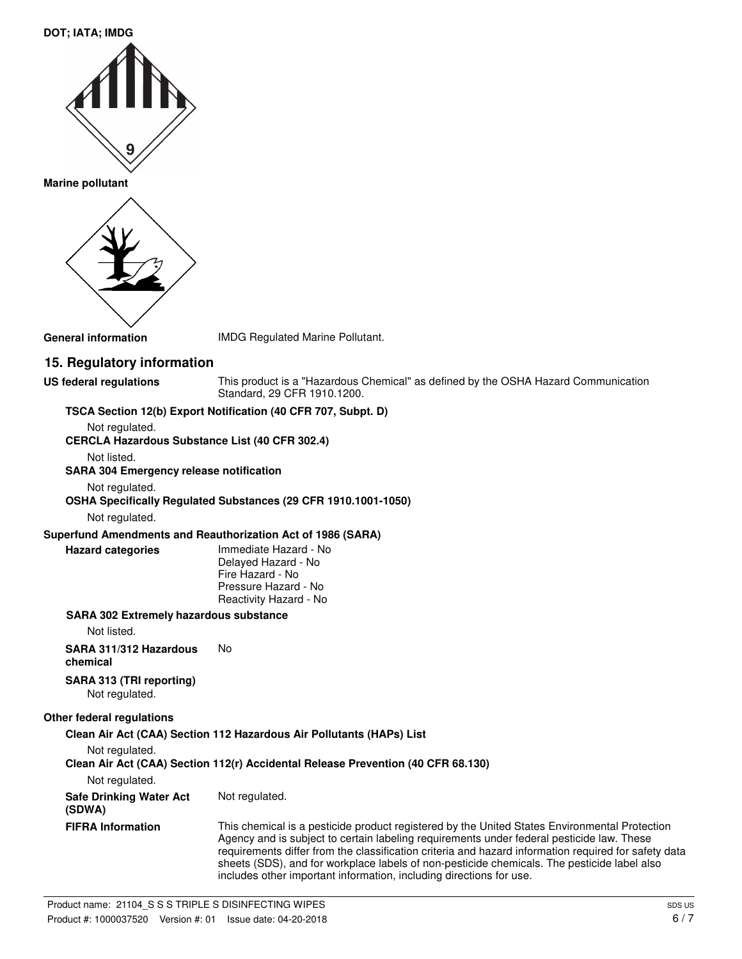#### **DOT; IATA; IMDG**



**Marine pollutant**



**General information** IMDG Regulated Marine Pollutant.

# **15. Regulatory information**

**US federal regulations**

This product is a "Hazardous Chemical" as defined by the OSHA Hazard Communication Standard, 29 CFR 1910.1200.

## **TSCA Section 12(b) Export Notification (40 CFR 707, Subpt. D)**

Not regulated.

**CERCLA Hazardous Substance List (40 CFR 302.4)**

Not listed.

#### **SARA 304 Emergency release notification**

Not regulated.

#### **OSHA Specifically Regulated Substances (29 CFR 1910.1001-1050)**

Not regulated.

**Hazard categories**

#### **Superfund Amendments and Reauthorization Act of 1986 (SARA)**

Immediate Hazard - No Delayed Hazard - No Fire Hazard - No Pressure Hazard - No Reactivity Hazard - No

#### **SARA 302 Extremely hazardous substance**

Not listed.

**SARA 311/312 Hazardous** No

**chemical**

**SARA 313 (TRI reporting)** Not regulated.

#### **Other federal regulations**

**Clean Air Act (CAA) Section 112 Hazardous Air Pollutants (HAPs) List** Not regulated.

**Clean Air Act (CAA) Section 112(r) Accidental Release Prevention (40 CFR 68.130)**

Not regulated.

| <b>Safe Drinking Water Act</b> | Not regulated. |
|--------------------------------|----------------|
| (SDWA)                         |                |

This chemical is a pesticide product registered by the United States Environmental Protection Agency and is subject to certain labeling requirements under federal pesticide law. These requirements differ from the classification criteria and hazard information required for safety data sheets (SDS), and for workplace labels of non-pesticide chemicals. The pesticide label also includes other important information, including directions for use. **FIFRA Information**